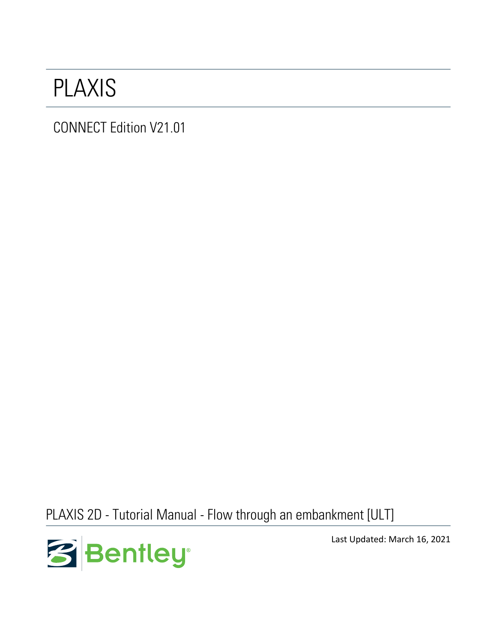# PLAXIS

CONNECT Edition V21.01

PLAXIS 2D - Tutorial Manual - Flow through an embankment [ULT]



Last Updated: March 16, 2021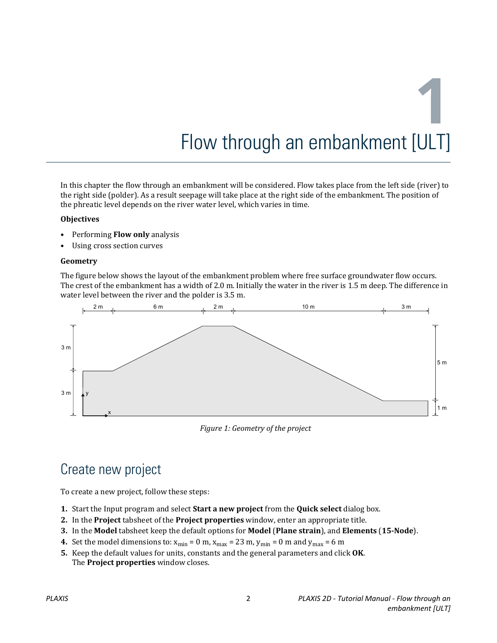In this chapter the flow through an embankment will be considered. Flow takes place from the left side (river) to the right side (polder). As a result seepage will take place at the right side of the embankment. The position of the phreatic level depends on the river water level, which varies in time.

#### **Objectives**

- Performing **Flow only** analysis
- Using cross section curves

#### **Geometry**

The figure below shows the layout of the embankment problem where free surface groundwater flow occurs. The crest of the embankment has a width of 2.0 m. Initially the water in the river is 1.5 m deep. The difference in water level between the river and the polder is 3.5 m.



*Figure 1: Geometry of the project*

# Create new project

To create a new project, follow these steps:

- **1.** Start the Input program and select **Start a new project** from the **Quick select** dialog box.
- **2.** In the **Project** tabsheet of the **Project properties** window, enter an appropriate title.
- **3.** In the **Model** tabsheet keep the default options for **Model** (**Plane strain**), and **Elements** (**15-Node**).
- **4.** Set the model dimensions to:  $x_{min} = 0$  m,  $x_{max} = 23$  m,  $y_{min} = 0$  m and  $y_{max} = 6$  m
- **5.** Keep the default values for units, constants and the general parameters and click **OK**. The **Project properties** window closes.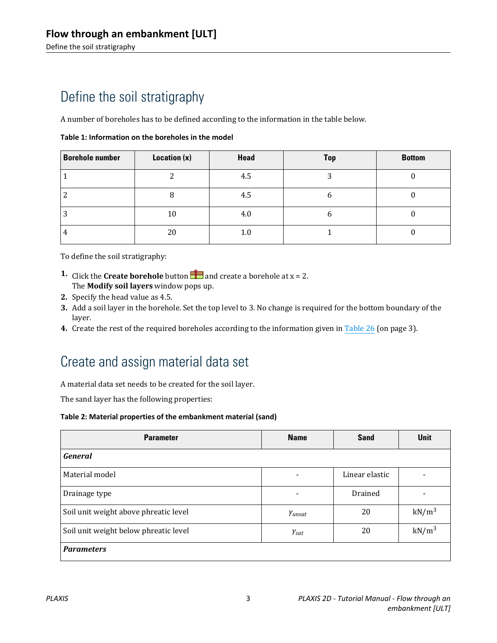# <span id="page-2-0"></span>Define the soil stratigraphy

A number of boreholes has to be defined according to the information in the table below.

| <b>Borehole number</b> | Location (x) | Head    | <b>Top</b> | <b>Bottom</b> |
|------------------------|--------------|---------|------------|---------------|
|                        | ▵            | 4.5     | ົ<br>ر     |               |
|                        |              | 4.5     |            |               |
| ◠                      | 10           | 4.0     |            |               |
| 4                      | 20           | $1.0\,$ |            |               |

To define the soil stratigraphy:

- **1.** Click the **Create borehole** button **a** and create a borehole at  $x = 2$ . The **Modify soil layers** window pops up.
- **2.** Specify the head value as 4.5.
- **3.** Add a soil layer in the borehole. Set the top level to 3. No change is required for the bottom boundary of the layer.
- **4.** Create the rest of the required boreholes according to the information given in Table 26 (on page 3).

# Create and assign material data set

A material data set needs to be created for the soil layer.

The sand layer has the following properties:

#### **Table 2: Material properties of the embankment material (sand)**

| <b>Parameter</b>                      | <b>Name</b>          | <b>Sand</b>    | <b>Unit</b>       |
|---------------------------------------|----------------------|----------------|-------------------|
| <b>General</b>                        |                      |                |                   |
| Material model                        | $\blacksquare$       | Linear elastic |                   |
| Drainage type                         |                      | Drained        |                   |
| Soil unit weight above phreatic level | Yunsat               | 20             | $kN/m^3$          |
| Soil unit weight below phreatic level | $\gamma_{\text sat}$ | 20             | kN/m <sup>3</sup> |
| <b>Parameters</b>                     |                      |                |                   |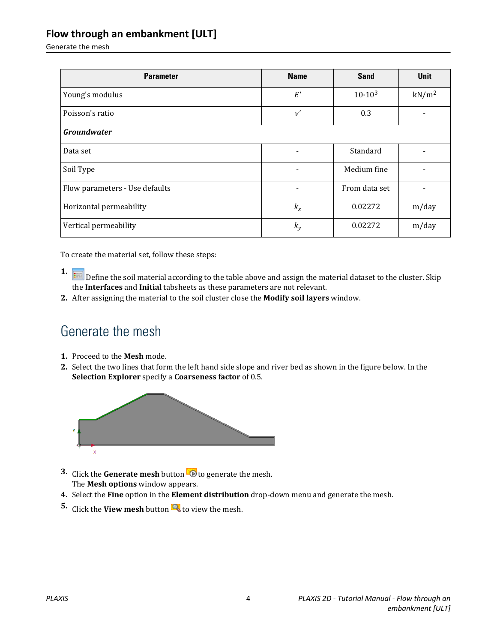Generate the mesh

| <b>Parameter</b>               | <b>Name</b>              | <b>Sand</b>   | <b>Unit</b>       |  |
|--------------------------------|--------------------------|---------------|-------------------|--|
| Young's modulus                | $E^\prime$               | $10.10^{3}$   | kN/m <sup>2</sup> |  |
| Poisson's ratio                | $\nu'$                   | 0.3           |                   |  |
| <b>Groundwater</b>             |                          |               |                   |  |
| Data set                       | $\overline{\phantom{0}}$ | Standard      |                   |  |
| Soil Type                      | $\overline{\phantom{a}}$ | Medium fine   |                   |  |
| Flow parameters - Use defaults |                          | From data set |                   |  |
| Horizontal permeability        | $k_{x}$                  | 0.02272       | m/day             |  |
| Vertical permeability          | $k_{y}$                  | 0.02272       | m/day             |  |

To create the material set, follow these steps:

- **1. I.** Define the soil material according to the table above and assign the material dataset to the cluster. Skip the **Interfaces** and **Initial** tabsheets as these parameters are not relevant.
- **2.** After assigning the material to the soil cluster close the **Modify soil layers** window.

### Generate the mesh

- **1.** Proceed to the **Mesh** mode.
- **2.** Select the two lines that form the left hand side slope and river bed as shown in the figure below. In the **Selection Explorer** specify a **Coarseness factor** of 0.5.



- **3.** Click the **Generate mesh** button **to** to generate the mesh. The **Mesh options** window appears.
- **4.** Select the **Fine** option in the **Element distribution** drop-down menu and generate the mesh.
- **5.** Click the **View mesh** button **the view the mesh.**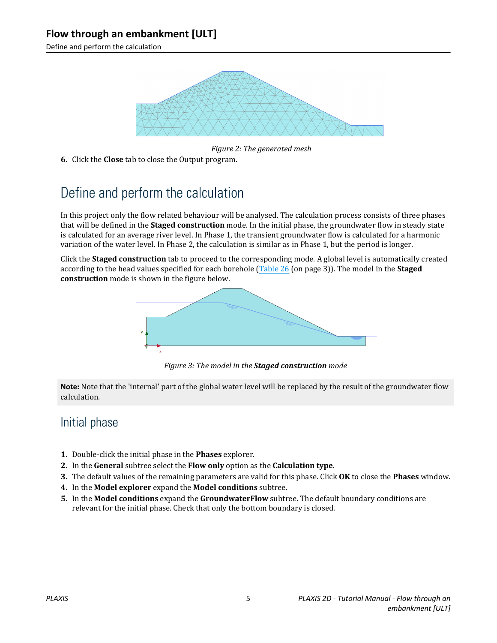Define and perform the calculation



*Figure 2: The generated mesh*

**6.** Click the **Close** tab to close the Output program.

# Define and perform the calculation

In this project only the flow related behaviour will be analysed. The calculation process consists of three phases that will be defined in the **Staged construction** mode. In the initial phase, the groundwater flow in steady state is calculated for an average river level. In Phase 1, the transient groundwater flow is calculated for a harmonic variation of the water level. In Phase 2, the calculation is similar as in Phase 1, but the period is longer.

Click the **Staged construction** tab to proceed to the corresponding mode. A global level is automatically created according to the head values specified for each borehole [\(Table 26](#page-2-0) (on page 3)). The model in the **Staged construction** mode is shown in the figure below.



*Figure 3: The model in the Staged construction mode*

**Note:** Note that the 'internal' part of the global water level will be replaced by the result of the groundwater flow calculation.

#### Initial phase

- **1.** Double-click the initial phase in the **Phases** explorer.
- **2.** In the **General** subtree select the **Flow only** option as the **Calculation type**.
- **3.** The default values of the remaining parameters are valid for this phase. Click **OK** to close the **Phases** window.
- **4.** In the **Model explorer** expand the **Model conditions** subtree.
- **5.** In the **Model conditions** expand the **GroundwaterFlow** subtree. The default boundary conditions are relevant for the initial phase. Check that only the bottom boundary is closed.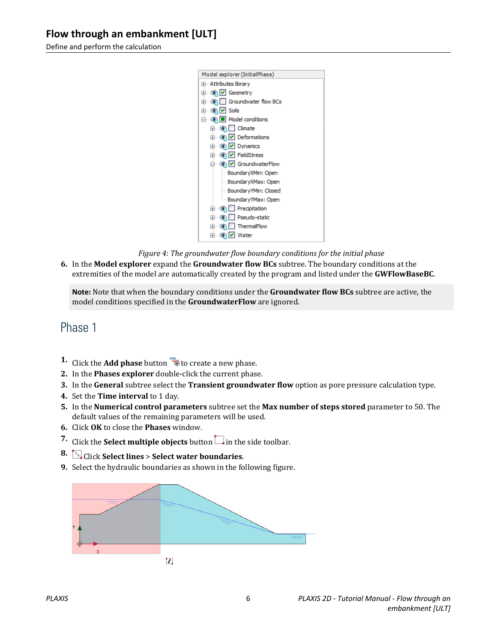Define and perform the calculation



*Figure 4: The groundwater flow boundary conditions for the initial phase*

**6.** In the **Model explorer** expand the **Groundwater flow BCs** subtree. The boundary conditions at the extremities of the model are automatically created by the program and listed under the **GWFlowBaseBC**.

**Note:** Note that when the boundary conditions under the **Groundwater flow BCs** subtree are active, the model conditions specified in the **GroundwaterFlow** are ignored.

#### Phase 1

- **1.** Click the **Add phase** button **the contract a new phase.**
- **2.** In the **Phases explorer** double-click the current phase.
- **3.** In the **General** subtree select the **Transient groundwater flow** option as pore pressure calculation type.
- **4.** Set the **Time interval** to 1 day.
- **5.** In the **Numerical control parameters** subtree set the **Max number of steps stored** parameter to 50. The default values of the remaining parameters will be used.
- **6.** Click **OK** to close the **Phases** window.
- **7.** Click the **Select multiple objects** button in the side toolbar.
- **8.** Click **Select lines** > **Select water boundaries**.
- **9.** Select the hydraulic boundaries as shown in the following figure.

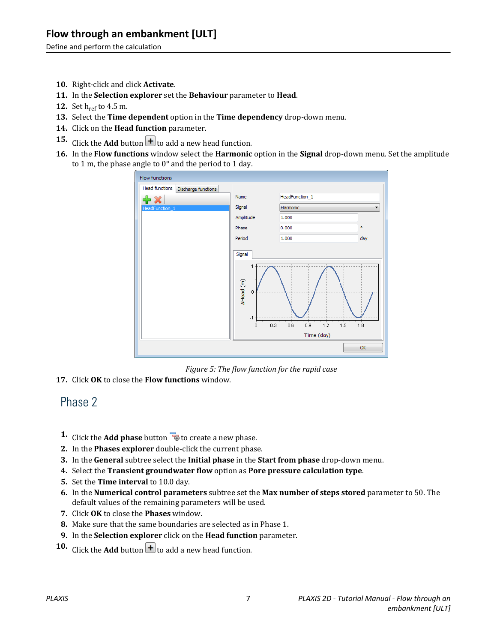Define and perform the calculation

- **10.** Right-click and click **Activate**.
- **11.** In the **Selection explorer** set the **Behaviour** parameter to **Head**.
- **12.** Set h<sub>ref</sub> to 4.5 m.
- **13.** Select the **Time dependent** option in the **Time dependency** drop-down menu.
- **14.** Click on the **Head function** parameter.
- **15.** Click the **Add** button  $\mathbf{t}$  to add a new head function.
- **16.** In the **Flow functions** window select the **Harmonic** option in the **Signal** drop-down menu. Set the amplitude to 1 m, the phase angle to 0° and the period to 1 day.



*Figure 5: The flow function for the rapid case*

**17.** Click **OK** to close the **Flow functions** window.

#### Phase 2

- **1.** Click the **Add phase** button **to** to create a new phase.
- **2.** In the **Phases explorer** double-click the current phase.
- **3.** In the **General** subtree select the **Initial phase** in the **Start from phase** drop-down menu.
- **4.** Select the **Transient groundwater flow** option as **Pore pressure calculation type**.
- **5.** Set the **Time interval** to 10.0 day.
- **6.** In the **Numerical control parameters** subtree set the **Max number of steps stored** parameter to 50. The default values of the remaining parameters will be used.
- **7.** Click **OK** to close the **Phases** window.
- **8.** Make sure that the same boundaries are selected as in Phase 1.
- **9.** In the **Selection explorer** click on the **Head function** parameter.
- **10.** Click the **Add** button  $\mathbf{H}$  to add a new head function.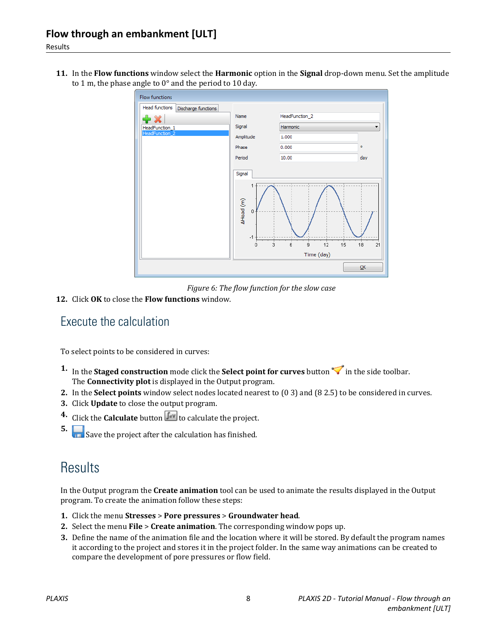**11.** In the **Flow functions** window select the **Harmonic** option in the **Signal** drop-down menu. Set the amplitude to 1 m, the phase angle to 0° and the period to 10 day.



*Figure 6: The flow function for the slow case*

**12.** Click **OK** to close the **Flow functions** window.

#### Execute the calculation

To select points to be considered in curves:

- **1.** In the **Staged construction** mode click the **Select point for curves** button in the side toolbar. The **Connectivity plot** is displayed in the Output program.
- **2.** In the **Select points** window select nodes located nearest to (0 3) and (8 2.5) to be considered in curves.
- **3.** Click **Update** to close the output program.
- **4.** Click the **Calculate** button  $\begin{bmatrix} \mathbf{I}_{d} \mathbf{v} \end{bmatrix}$  to calculate the project.
- **5.** Save the project after the calculation has finished.

## **Results**

In the Output program the **Create animation** tool can be used to animate the results displayed in the Output program. To create the animation follow these steps:

- **1.** Click the menu **Stresses** > **Pore pressures** > **Groundwater head**.
- **2.** Select the menu **File** > **Create animation**. The corresponding window pops up.
- **3.** Define the name of the animation file and the location where it will be stored. By default the program names it according to the project and stores it in the project folder. In the same way animations can be created to compare the development of pore pressures or flow field.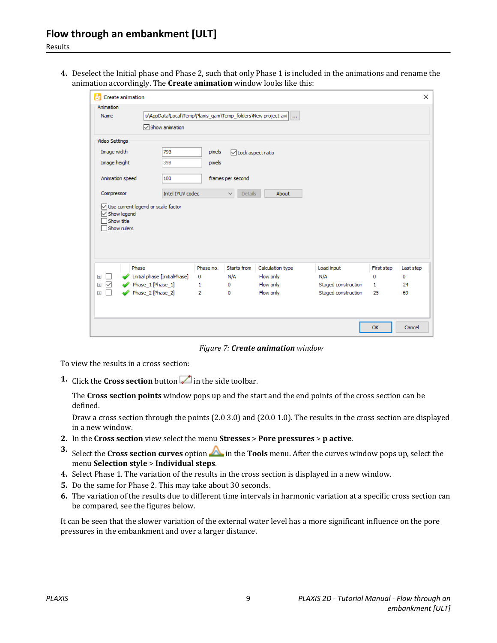**4.** Deselect the Initial phase and Phase 2, such that only Phase 1 is included in the animations and rename the animation accordingly. The **Create animation** window looks like this:

| Create animation<br>H                                |                                                               |           |                                |                  |                     |              | $\times$  |
|------------------------------------------------------|---------------------------------------------------------------|-----------|--------------------------------|------------------|---------------------|--------------|-----------|
| Animation<br>Name                                    | is\AppData\Local\Temp\Plaxis_qam\Temp_folders\New project.avi |           |                                |                  |                     |              |           |
|                                                      | Show animation                                                |           |                                |                  |                     |              |           |
| Video Settings                                       |                                                               |           |                                |                  |                     |              |           |
| Image width                                          | 793                                                           | pixels    | □Lock aspect ratio             |                  |                     |              |           |
| Image height                                         | 398                                                           | pixels    |                                |                  |                     |              |           |
| Animation speed                                      | 100<br>frames per second                                      |           |                                |                  |                     |              |           |
| Compressor                                           | Intel IYUV codec                                              |           | $\checkmark$<br><b>Details</b> | About            |                     |              |           |
| $\sqrt{\ }$ Show legend<br>Show title<br>Show rulers |                                                               |           |                                |                  |                     |              |           |
| Phase                                                |                                                               | Phase no. | Starts from                    | Calculation type | Load input          | First step   | Last step |
| $\pm$<br>$\overline{\phantom{0}}$                    | Initial phase [InitialPhase]                                  | 0         | N/A                            | Flow only        | N/A                 | 0            | 0         |
| $\checkmark$<br>$\pm$                                | Phase_1 [Phase_1]                                             | 1         | 0                              | Flow only        | Staged construction | $\mathbf{1}$ | 24        |
| П<br>$\overline{+}$                                  | Phase 2 [Phase 2]                                             | 2         | 0                              | Flow only        | Staged construction | 25           | 69        |
|                                                      |                                                               |           |                                |                  |                     | <b>OK</b>    | Cancel    |

*Figure 7: Create animation window*

To view the results in a cross section:

**1.** Click the **Cross section** button  $\mathbb{Z}$  in the side toolbar.

The **Cross section points** window pops up and the start and the end points of the cross section can be defined.

Draw a cross section through the points (2.0 3.0) and (20.0 1.0). The results in the cross section are displayed in a new window.

- **2.** In the **Cross section** view select the menu **Stresses** > **Pore pressures** > **p active**.
- **3.** Select the **Cross section curves** option **in the <b>Tools** menu. After the curves window pops up, select the menu **Selection style** > **Individual steps**.
- **4.** Select Phase 1. The variation of the results in the cross section is displayed in a new window.
- **5.** Do the same for Phase 2. This may take about 30 seconds.
- **6.** The variation of the results due to different time intervals in harmonic variation at a specific cross section can be compared, see the figures below.

It can be seen that the slower variation of the external water level has a more significant influence on the pore pressures in the embankment and over a larger distance.